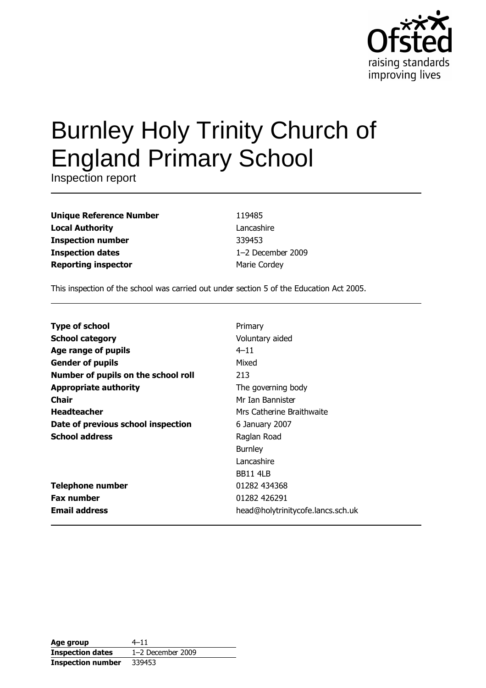

# **Burnley Holy Trinity Church of England Primary School**

Inspection report

| <b>Unique Reference Number</b> |
|--------------------------------|
| <b>Local Authority</b>         |
| <b>Inspection number</b>       |
| <b>Inspection dates</b>        |
| <b>Reporting inspector</b>     |

119485 Lancashire 339453 1-2 December 2009 Marie Cordey

This inspection of the school was carried out under section 5 of the Education Act 2005.

| <b>Type of school</b>               | Primary                           |
|-------------------------------------|-----------------------------------|
| <b>School category</b>              | Voluntary aided                   |
| Age range of pupils                 | $4 - 11$                          |
| <b>Gender of pupils</b>             | Mixed                             |
| Number of pupils on the school roll | 213                               |
| <b>Appropriate authority</b>        | The governing body                |
| Chair                               | Mr Ian Bannister                  |
| <b>Headteacher</b>                  | Mrs Catherine Braithwaite         |
| Date of previous school inspection  | 6 January 2007                    |
| <b>School address</b>               | Raglan Road                       |
|                                     | <b>Burnley</b>                    |
|                                     | Lancashire                        |
|                                     | <b>BB11 4LB</b>                   |
| <b>Telephone number</b>             | 01282 434368                      |
| <b>Fax number</b>                   | 01282 426291                      |
| <b>Email address</b>                | head@holytrinitycofe.lancs.sch.uk |

| Age group                | $4 - 11$            |
|--------------------------|---------------------|
| <b>Inspection dates</b>  | $1-2$ December 2009 |
| <b>Inspection number</b> | 339453              |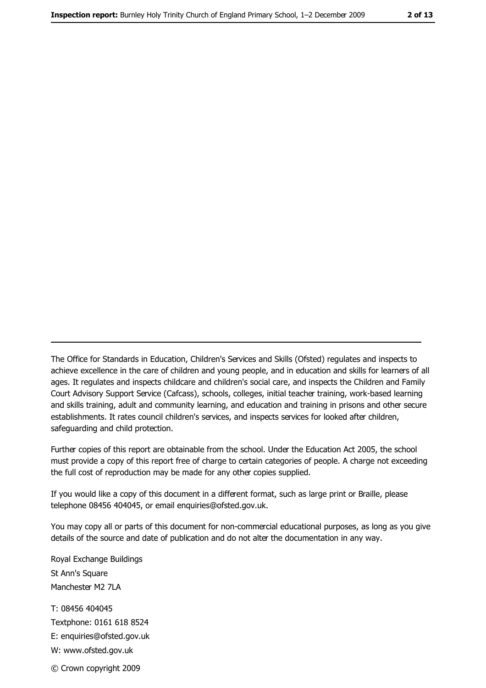The Office for Standards in Education, Children's Services and Skills (Ofsted) regulates and inspects to achieve excellence in the care of children and young people, and in education and skills for learners of all ages. It regulates and inspects childcare and children's social care, and inspects the Children and Family Court Advisory Support Service (Cafcass), schools, colleges, initial teacher training, work-based learning and skills training, adult and community learning, and education and training in prisons and other secure establishments. It rates council children's services, and inspects services for looked after children, safequarding and child protection.

Further copies of this report are obtainable from the school. Under the Education Act 2005, the school must provide a copy of this report free of charge to certain categories of people. A charge not exceeding the full cost of reproduction may be made for any other copies supplied.

If you would like a copy of this document in a different format, such as large print or Braille, please telephone 08456 404045, or email enquiries@ofsted.gov.uk.

You may copy all or parts of this document for non-commercial educational purposes, as long as you give details of the source and date of publication and do not alter the documentation in any way.

Royal Exchange Buildings St Ann's Square Manchester M2 7LA T: 08456 404045 Textphone: 0161 618 8524 E: enquiries@ofsted.gov.uk W: www.ofsted.gov.uk © Crown copyright 2009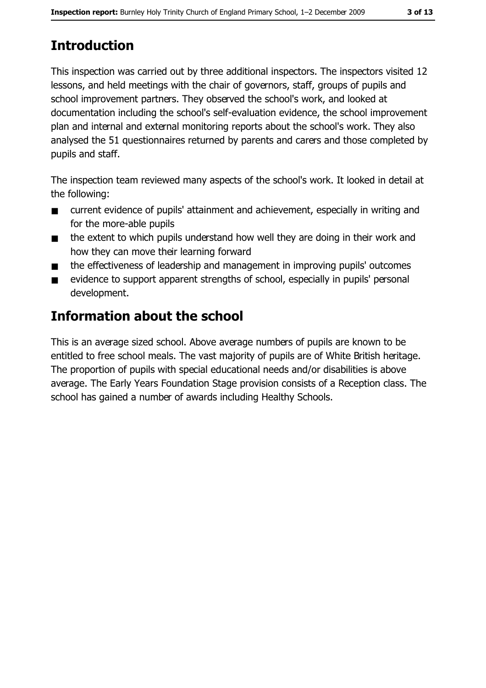# **Introduction**

This inspection was carried out by three additional inspectors. The inspectors visited 12 lessons, and held meetings with the chair of governors, staff, groups of pupils and school improvement partners. They observed the school's work, and looked at documentation including the school's self-evaluation evidence, the school improvement plan and internal and external monitoring reports about the school's work. They also analysed the 51 questionnaires returned by parents and carers and those completed by pupils and staff.

The inspection team reviewed many aspects of the school's work. It looked in detail at the following:

- current evidence of pupils' attainment and achievement, especially in writing and  $\blacksquare$ for the more-able pupils
- the extent to which pupils understand how well they are doing in their work and  $\blacksquare$ how they can move their learning forward
- the effectiveness of leadership and management in improving pupils' outcomes  $\blacksquare$
- evidence to support apparent strengths of school, especially in pupils' personal  $\blacksquare$ development.

## **Information about the school**

This is an average sized school. Above average numbers of pupils are known to be entitled to free school meals. The vast majority of pupils are of White British heritage. The proportion of pupils with special educational needs and/or disabilities is above average. The Early Years Foundation Stage provision consists of a Reception class. The school has gained a number of awards including Healthy Schools.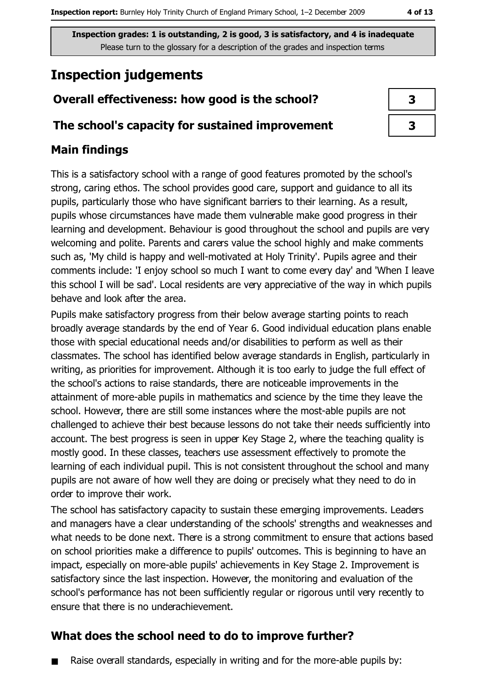## **Inspection judgements**

#### Overall effectiveness: how good is the school?

#### The school's capacity for sustained improvement

#### **Main findings**

This is a satisfactory school with a range of good features promoted by the school's strong, caring ethos. The school provides good care, support and guidance to all its pupils, particularly those who have significant barriers to their learning. As a result, pupils whose circumstances have made them vulnerable make good progress in their learning and development. Behaviour is good throughout the school and pupils are very welcoming and polite. Parents and carers value the school highly and make comments such as, 'My child is happy and well-motivated at Holy Trinity'. Pupils agree and their comments include: 'I enjoy school so much I want to come every day' and 'When I leave this school I will be sad'. Local residents are very appreciative of the way in which pupils behave and look after the area.

Pupils make satisfactory progress from their below average starting points to reach broadly average standards by the end of Year 6. Good individual education plans enable those with special educational needs and/or disabilities to perform as well as their classmates. The school has identified below average standards in English, particularly in writing, as priorities for improvement. Although it is too early to judge the full effect of the school's actions to raise standards, there are noticeable improvements in the attainment of more-able pupils in mathematics and science by the time they leave the school. However, there are still some instances where the most-able pupils are not challenged to achieve their best because lessons do not take their needs sufficiently into account. The best progress is seen in upper Key Stage 2, where the teaching quality is mostly good. In these classes, teachers use assessment effectively to promote the learning of each individual pupil. This is not consistent throughout the school and many pupils are not aware of how well they are doing or precisely what they need to do in order to improve their work.

The school has satisfactory capacity to sustain these emerging improvements. Leaders and managers have a clear understanding of the schools' strengths and weaknesses and what needs to be done next. There is a strong commitment to ensure that actions based on school priorities make a difference to pupils' outcomes. This is beginning to have an impact, especially on more-able pupils' achievements in Key Stage 2. Improvement is satisfactory since the last inspection. However, the monitoring and evaluation of the school's performance has not been sufficiently regular or rigorous until very recently to ensure that there is no underachievement.

#### What does the school need to do to improve further?

Raise overall standards, especially in writing and for the more-able pupils by:  $\blacksquare$ 

| 3 |  |
|---|--|
| 3 |  |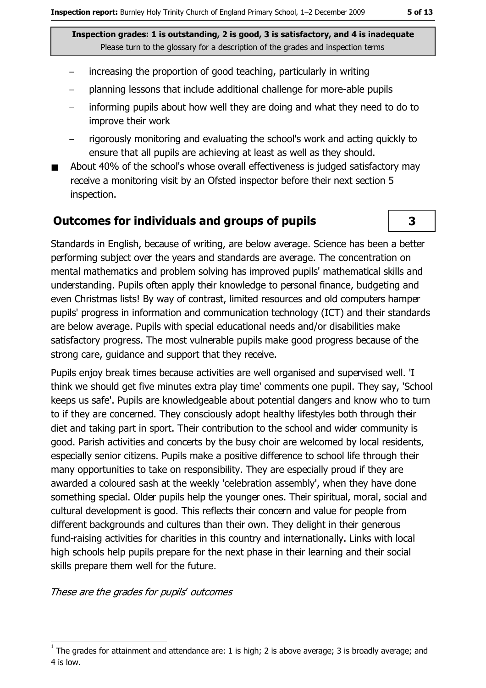- increasing the proportion of good teaching, particularly in writing
- planning lessons that include additional challenge for more-able pupils
- informing pupils about how well they are doing and what they need to do to improve their work
- rigorously monitoring and evaluating the school's work and acting quickly to ensure that all pupils are achieving at least as well as they should.
- About 40% of the school's whose overall effectiveness is judged satisfactory may receive a monitoring visit by an Ofsted inspector before their next section 5 inspection.

#### **Outcomes for individuals and groups of pupils**

Standards in English, because of writing, are below average. Science has been a better performing subject over the years and standards are average. The concentration on mental mathematics and problem solving has improved pupils' mathematical skills and understanding. Pupils often apply their knowledge to personal finance, budgeting and even Christmas lists! By way of contrast, limited resources and old computers hamper pupils' progress in information and communication technology (ICT) and their standards are below average. Pupils with special educational needs and/or disabilities make satisfactory progress. The most vulnerable pupils make good progress because of the strong care, guidance and support that they receive.

Pupils enjoy break times because activities are well organised and supervised well. 'I think we should get five minutes extra play time' comments one pupil. They say, 'School keeps us safe'. Pupils are knowledgeable about potential dangers and know who to turn to if they are concerned. They consciously adopt healthy lifestyles both through their diet and taking part in sport. Their contribution to the school and wider community is good. Parish activities and concerts by the busy choir are welcomed by local residents, especially senior citizens. Pupils make a positive difference to school life through their many opportunities to take on responsibility. They are especially proud if they are awarded a coloured sash at the weekly 'celebration assembly', when they have done something special. Older pupils help the younger ones. Their spiritual, moral, social and cultural development is good. This reflects their concern and value for people from different backgrounds and cultures than their own. They delight in their generous fund-raising activities for charities in this country and internationally. Links with local high schools help pupils prepare for the next phase in their learning and their social skills prepare them well for the future.

These are the grades for pupils' outcomes

3

The grades for attainment and attendance are: 1 is high; 2 is above average; 3 is broadly average; and 4 is low.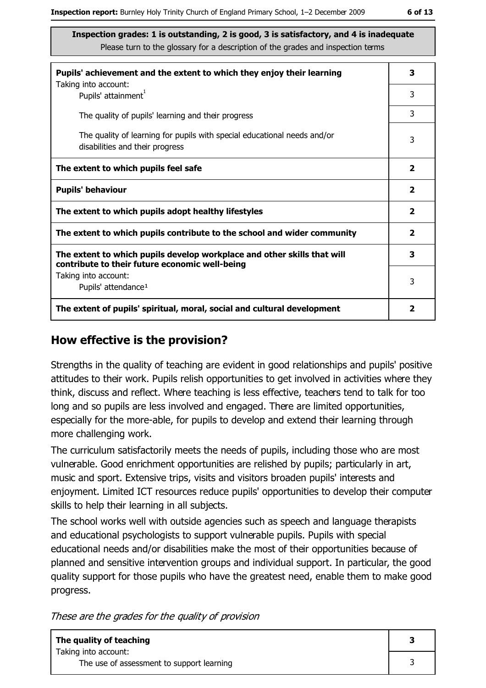| Pupils' achievement and the extent to which they enjoy their learning                                                     |              |  |
|---------------------------------------------------------------------------------------------------------------------------|--------------|--|
| Taking into account:<br>Pupils' attainment <sup>1</sup>                                                                   | 3            |  |
| The quality of pupils' learning and their progress                                                                        | 3            |  |
| The quality of learning for pupils with special educational needs and/or<br>disabilities and their progress               | 3            |  |
| The extent to which pupils feel safe                                                                                      | $\mathbf{2}$ |  |
| <b>Pupils' behaviour</b>                                                                                                  | $\mathbf{2}$ |  |
| The extent to which pupils adopt healthy lifestyles                                                                       | $\mathbf{2}$ |  |
| The extent to which pupils contribute to the school and wider community                                                   | $\mathbf{2}$ |  |
| The extent to which pupils develop workplace and other skills that will<br>contribute to their future economic well-being | 3            |  |
| Taking into account:<br>Pupils' attendance <sup>1</sup>                                                                   | 3            |  |
| The extent of pupils' spiritual, moral, social and cultural development                                                   | 2            |  |

#### How effective is the provision?

Strengths in the quality of teaching are evident in good relationships and pupils' positive attitudes to their work. Pupils relish opportunities to get involved in activities where they think, discuss and reflect. Where teaching is less effective, teachers tend to talk for too long and so pupils are less involved and engaged. There are limited opportunities, especially for the more-able, for pupils to develop and extend their learning through more challenging work.

The curriculum satisfactorily meets the needs of pupils, including those who are most vulnerable. Good enrichment opportunities are relished by pupils; particularly in art, music and sport. Extensive trips, visits and visitors broaden pupils' interests and enjoyment. Limited ICT resources reduce pupils' opportunities to develop their computer skills to help their learning in all subjects.

The school works well with outside agencies such as speech and language therapists and educational psychologists to support vulnerable pupils. Pupils with special educational needs and/or disabilities make the most of their opportunities because of planned and sensitive intervention groups and individual support. In particular, the good quality support for those pupils who have the greatest need, enable them to make good progress.

These are the grades for the quality of provision

| The quality of teaching<br>Taking into account: |  |
|-------------------------------------------------|--|
|                                                 |  |
| The use of assessment to support learning       |  |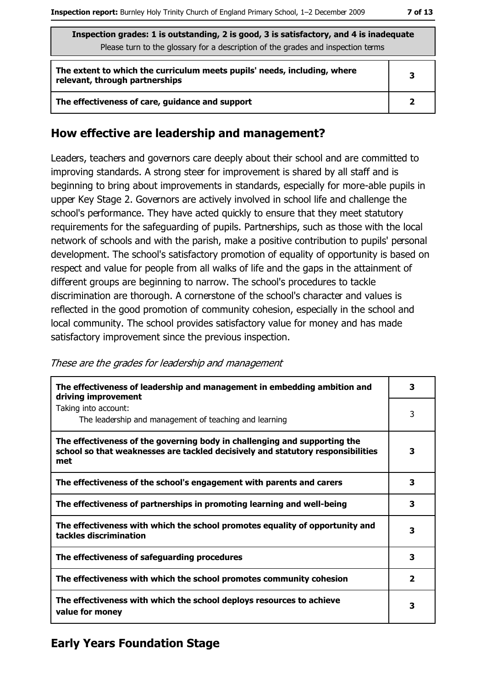| Inspection grades: 1 is outstanding, 2 is good, 3 is satisfactory, and 4 is inadequate |
|----------------------------------------------------------------------------------------|
| Please turn to the glossary for a description of the grades and inspection terms       |

| The extent to which the curriculum meets pupils' needs, including, where<br>relevant, through partnerships |  |  |
|------------------------------------------------------------------------------------------------------------|--|--|
| The effectiveness of care, guidance and support                                                            |  |  |

#### How effective are leadership and management?

Leaders, teachers and governors care deeply about their school and are committed to improving standards. A strong steer for improvement is shared by all staff and is beginning to bring about improvements in standards, especially for more-able pupils in upper Key Stage 2. Governors are actively involved in school life and challenge the school's performance. They have acted quickly to ensure that they meet statutory requirements for the safeguarding of pupils. Partnerships, such as those with the local network of schools and with the parish, make a positive contribution to pupils' personal development. The school's satisfactory promotion of equality of opportunity is based on respect and value for people from all walks of life and the gaps in the attainment of different groups are beginning to narrow. The school's procedures to tackle discrimination are thorough. A cornerstone of the school's character and values is reflected in the good promotion of community cohesion, especially in the school and local community. The school provides satisfactory value for money and has made satisfactory improvement since the previous inspection.

These are the grades for leadership and management

| The effectiveness of leadership and management in embedding ambition and<br>driving improvement                                                                     | 3            |
|---------------------------------------------------------------------------------------------------------------------------------------------------------------------|--------------|
| Taking into account:<br>The leadership and management of teaching and learning                                                                                      | 3            |
| The effectiveness of the governing body in challenging and supporting the<br>school so that weaknesses are tackled decisively and statutory responsibilities<br>met | 3            |
| The effectiveness of the school's engagement with parents and carers                                                                                                | 3            |
| The effectiveness of partnerships in promoting learning and well-being                                                                                              | 3            |
| The effectiveness with which the school promotes equality of opportunity and<br>tackles discrimination                                                              | 3            |
| The effectiveness of safeguarding procedures                                                                                                                        | 3            |
| The effectiveness with which the school promotes community cohesion                                                                                                 | $\mathbf{2}$ |
| The effectiveness with which the school deploys resources to achieve<br>value for money                                                                             | 3            |

#### **Early Years Foundation Stage**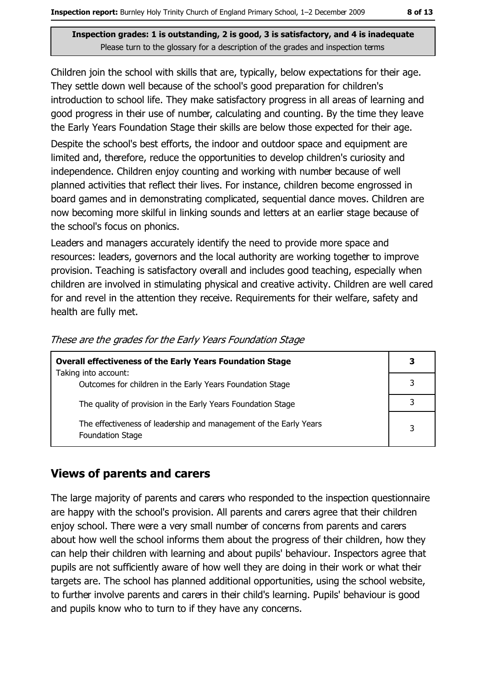Children join the school with skills that are, typically, below expectations for their age. They settle down well because of the school's good preparation for children's introduction to school life. They make satisfactory progress in all areas of learning and good progress in their use of number, calculating and counting. By the time they leave the Early Years Foundation Stage their skills are below those expected for their age.

Despite the school's best efforts, the indoor and outdoor space and equipment are limited and, therefore, reduce the opportunities to develop children's curiosity and independence. Children enjoy counting and working with number because of well planned activities that reflect their lives. For instance, children become engrossed in board games and in demonstrating complicated, sequential dance moves. Children are now becoming more skilful in linking sounds and letters at an earlier stage because of the school's focus on phonics.

Leaders and managers accurately identify the need to provide more space and resources: leaders, governors and the local authority are working together to improve provision. Teaching is satisfactory overall and includes good teaching, especially when children are involved in stimulating physical and creative activity. Children are well cared for and revel in the attention they receive. Requirements for their welfare, safety and health are fully met.

| <b>Overall effectiveness of the Early Years Foundation Stage</b><br>Taking into account:     | 3 |
|----------------------------------------------------------------------------------------------|---|
| Outcomes for children in the Early Years Foundation Stage                                    |   |
| The quality of provision in the Early Years Foundation Stage                                 |   |
| The effectiveness of leadership and management of the Early Years<br><b>Foundation Stage</b> | 3 |

These are the grades for the Early Years Foundation Stage

#### **Views of parents and carers**

The large majority of parents and carers who responded to the inspection questionnaire are happy with the school's provision. All parents and carers agree that their children enjoy school. There were a very small number of concerns from parents and carers about how well the school informs them about the progress of their children, how they can help their children with learning and about pupils' behaviour. Inspectors agree that pupils are not sufficiently aware of how well they are doing in their work or what their targets are. The school has planned additional opportunities, using the school website, to further involve parents and carers in their child's learning. Pupils' behaviour is good and pupils know who to turn to if they have any concerns.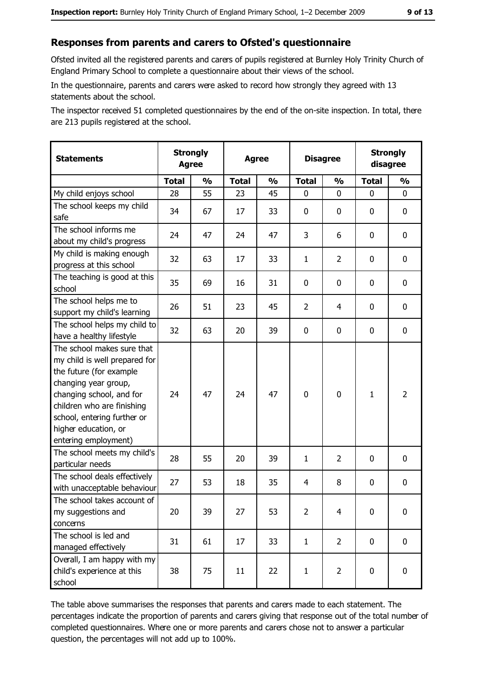#### Responses from parents and carers to Ofsted's questionnaire

Ofsted invited all the registered parents and carers of pupils registered at Burnley Holy Trinity Church of England Primary School to complete a questionnaire about their views of the school.

In the questionnaire, parents and carers were asked to record how strongly they agreed with 13 statements about the school.

The inspector received 51 completed questionnaires by the end of the on-site inspection. In total, there are 213 pupils registered at the school.

| <b>Statements</b>                                                                                                                                                                                                                                       | <b>Strongly</b><br><b>Agree</b> |               | <b>Agree</b> |               |                | <b>Disagree</b> |              | <b>Strongly</b><br>disagree |
|---------------------------------------------------------------------------------------------------------------------------------------------------------------------------------------------------------------------------------------------------------|---------------------------------|---------------|--------------|---------------|----------------|-----------------|--------------|-----------------------------|
|                                                                                                                                                                                                                                                         | <b>Total</b>                    | $\frac{1}{2}$ | <b>Total</b> | $\frac{0}{0}$ | <b>Total</b>   | $\frac{0}{0}$   | <b>Total</b> | $\frac{1}{2}$               |
| My child enjoys school                                                                                                                                                                                                                                  | 28                              | 55            | 23           | 45            | $\mathbf 0$    | 0               | 0            | 0                           |
| The school keeps my child<br>safe                                                                                                                                                                                                                       | 34                              | 67            | 17           | 33            | $\mathbf 0$    | 0               | 0            | $\mathbf 0$                 |
| The school informs me<br>about my child's progress                                                                                                                                                                                                      | 24                              | 47            | 24           | 47            | 3              | 6               | 0            | 0                           |
| My child is making enough<br>progress at this school                                                                                                                                                                                                    | 32                              | 63            | 17           | 33            | $\mathbf{1}$   | $\overline{2}$  | 0            | 0                           |
| The teaching is good at this<br>school                                                                                                                                                                                                                  | 35                              | 69            | 16           | 31            | 0              | 0               | 0            | 0                           |
| The school helps me to<br>support my child's learning                                                                                                                                                                                                   | 26                              | 51            | 23           | 45            | $\overline{2}$ | 4               | 0            | $\mathbf 0$                 |
| The school helps my child to<br>have a healthy lifestyle                                                                                                                                                                                                | 32                              | 63            | 20           | 39            | $\mathbf 0$    | 0               | 0            | $\mathbf 0$                 |
| The school makes sure that<br>my child is well prepared for<br>the future (for example<br>changing year group,<br>changing school, and for<br>children who are finishing<br>school, entering further or<br>higher education, or<br>entering employment) | 24                              | 47            | 24           | 47            | $\mathbf 0$    | 0               | 1            | $\overline{2}$              |
| The school meets my child's<br>particular needs                                                                                                                                                                                                         | 28                              | 55            | 20           | 39            | $\mathbf{1}$   | 2               | 0            | $\mathbf 0$                 |
| The school deals effectively<br>with unacceptable behaviour                                                                                                                                                                                             | 27                              | 53            | 18           | 35            | $\overline{4}$ | 8               | 0            | $\mathbf 0$                 |
| The school takes account of<br>my suggestions and<br>concerns                                                                                                                                                                                           | 20                              | 39            | 27           | 53            | $\overline{2}$ | 4               | 0            | $\bf{0}$                    |
| The school is led and<br>managed effectively                                                                                                                                                                                                            | 31                              | 61            | 17           | 33            | $\mathbf{1}$   | $\overline{2}$  | $\mathbf 0$  | $\mathbf 0$                 |
| Overall, I am happy with my<br>child's experience at this<br>school                                                                                                                                                                                     | 38                              | 75            | 11           | 22            | $\mathbf{1}$   | $\overline{2}$  | 0            | $\mathbf 0$                 |

The table above summarises the responses that parents and carers made to each statement. The percentages indicate the proportion of parents and carers giving that response out of the total number of completed questionnaires. Where one or more parents and carers chose not to answer a particular question, the percentages will not add up to 100%.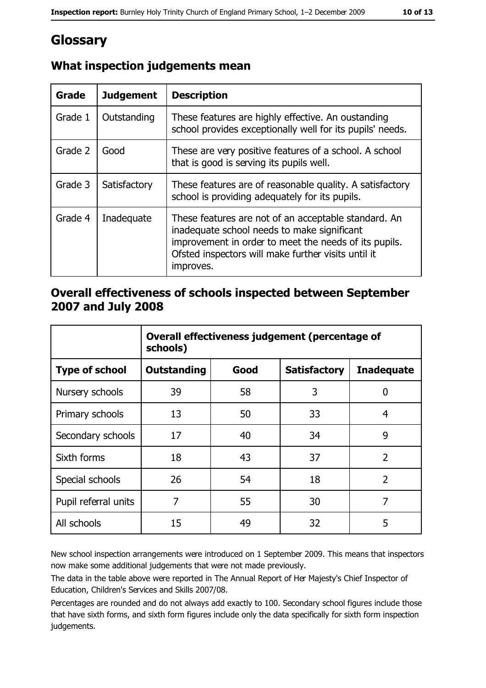## Glossary

| Grade   | <b>Judgement</b> | <b>Description</b>                                                                                                                                                                                                               |
|---------|------------------|----------------------------------------------------------------------------------------------------------------------------------------------------------------------------------------------------------------------------------|
| Grade 1 | Outstanding      | These features are highly effective. An oustanding<br>school provides exceptionally well for its pupils' needs.                                                                                                                  |
| Grade 2 | Good             | These are very positive features of a school. A school<br>that is good is serving its pupils well.                                                                                                                               |
| Grade 3 | Satisfactory     | These features are of reasonable quality. A satisfactory<br>school is providing adequately for its pupils.                                                                                                                       |
| Grade 4 | Inadequate       | These features are not of an acceptable standard. An<br>inadequate school needs to make significant<br>improvement in order to meet the needs of its pupils.<br>Ofsted inspectors will make further visits until it<br>improves. |

#### What inspection judgements mean

#### Overall effectiveness of schools inspected between September 2007 and July 2008

|                       | Overall effectiveness judgement (percentage of<br>schools) |      |                     |                   |
|-----------------------|------------------------------------------------------------|------|---------------------|-------------------|
| <b>Type of school</b> | Outstanding                                                | Good | <b>Satisfactory</b> | <b>Inadequate</b> |
| Nursery schools       | 39                                                         | 58   | 3                   | 0                 |
| Primary schools       | 13                                                         | 50   | 33                  | 4                 |
| Secondary schools     | 17                                                         | 40   | 34                  | 9                 |
| Sixth forms           | 18                                                         | 43   | 37                  | $\overline{2}$    |
| Special schools       | 26                                                         | 54   | 18                  | $\overline{2}$    |
| Pupil referral units  | 7                                                          | 55   | 30                  | 7                 |
| All schools           | 15                                                         | 49   | 32                  | 5                 |

New school inspection arrangements were introduced on 1 September 2009. This means that inspectors now make some additional judgements that were not made previously.

The data in the table above were reported in The Annual Report of Her Majesty's Chief Inspector of Education, Children's Services and Skills 2007/08.

Percentages are rounded and do not always add exactly to 100. Secondary school figures include those that have sixth forms, and sixth form figures include only the data specifically for sixth form inspection judgements.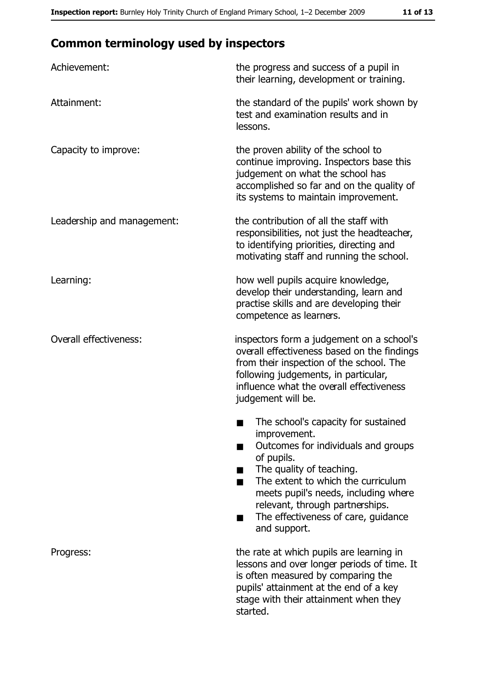## **Common terminology used by inspectors**

| Achievement:               | the progress and success of a pupil in<br>their learning, development or training.                                                                                                                                                                                                                           |  |  |
|----------------------------|--------------------------------------------------------------------------------------------------------------------------------------------------------------------------------------------------------------------------------------------------------------------------------------------------------------|--|--|
| Attainment:                | the standard of the pupils' work shown by<br>test and examination results and in<br>lessons.                                                                                                                                                                                                                 |  |  |
| Capacity to improve:       | the proven ability of the school to<br>continue improving. Inspectors base this<br>judgement on what the school has<br>accomplished so far and on the quality of<br>its systems to maintain improvement.                                                                                                     |  |  |
| Leadership and management: | the contribution of all the staff with<br>responsibilities, not just the headteacher,<br>to identifying priorities, directing and<br>motivating staff and running the school.                                                                                                                                |  |  |
| Learning:                  | how well pupils acquire knowledge,<br>develop their understanding, learn and<br>practise skills and are developing their<br>competence as learners.                                                                                                                                                          |  |  |
| Overall effectiveness:     | inspectors form a judgement on a school's<br>overall effectiveness based on the findings<br>from their inspection of the school. The<br>following judgements, in particular,<br>influence what the overall effectiveness<br>judgement will be.                                                               |  |  |
|                            | The school's capacity for sustained<br>improvement.<br>Outcomes for individuals and groups<br>of pupils.<br>The quality of teaching.<br>The extent to which the curriculum<br>meets pupil's needs, including where<br>relevant, through partnerships.<br>The effectiveness of care, guidance<br>and support. |  |  |
| Progress:                  | the rate at which pupils are learning in<br>lessons and over longer periods of time. It<br>is often measured by comparing the<br>pupils' attainment at the end of a key<br>stage with their attainment when they<br>started.                                                                                 |  |  |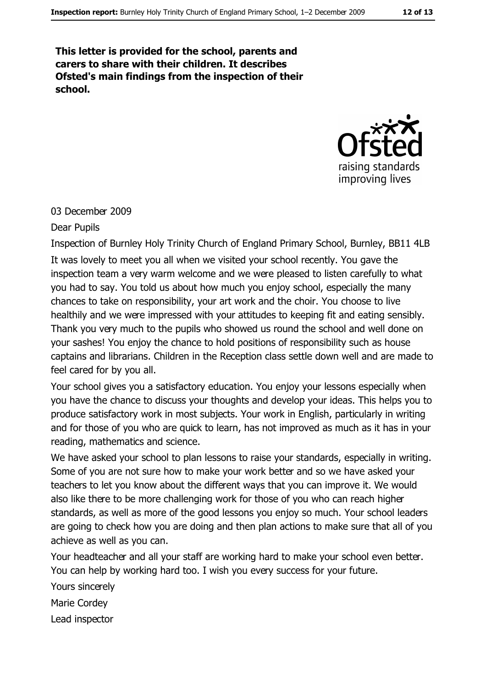This letter is provided for the school, parents and carers to share with their children. It describes Ofsted's main findings from the inspection of their school.



#### 03 December 2009

#### **Dear Pupils**

Inspection of Burnley Holy Trinity Church of England Primary School, Burnley, BB11 4LB It was lovely to meet you all when we visited your school recently. You gave the inspection team a very warm welcome and we were pleased to listen carefully to what you had to say. You told us about how much you enjoy school, especially the many chances to take on responsibility, your art work and the choir. You choose to live healthily and we were impressed with your attitudes to keeping fit and eating sensibly. Thank you very much to the pupils who showed us round the school and well done on your sashes! You enjoy the chance to hold positions of responsibility such as house captains and librarians. Children in the Reception class settle down well and are made to feel cared for by you all.

Your school gives you a satisfactory education. You enjoy your lessons especially when you have the chance to discuss your thoughts and develop your ideas. This helps you to produce satisfactory work in most subjects. Your work in English, particularly in writing and for those of you who are quick to learn, has not improved as much as it has in your reading, mathematics and science.

We have asked your school to plan lessons to raise your standards, especially in writing. Some of you are not sure how to make your work better and so we have asked your teachers to let you know about the different ways that you can improve it. We would also like there to be more challenging work for those of you who can reach higher standards, as well as more of the good lessons you enjoy so much. Your school leaders are going to check how you are doing and then plan actions to make sure that all of you achieve as well as you can.

Your headteacher and all your staff are working hard to make your school even better. You can help by working hard too. I wish you every success for your future.

Yours sincerely

Marie Cordey

Lead inspector